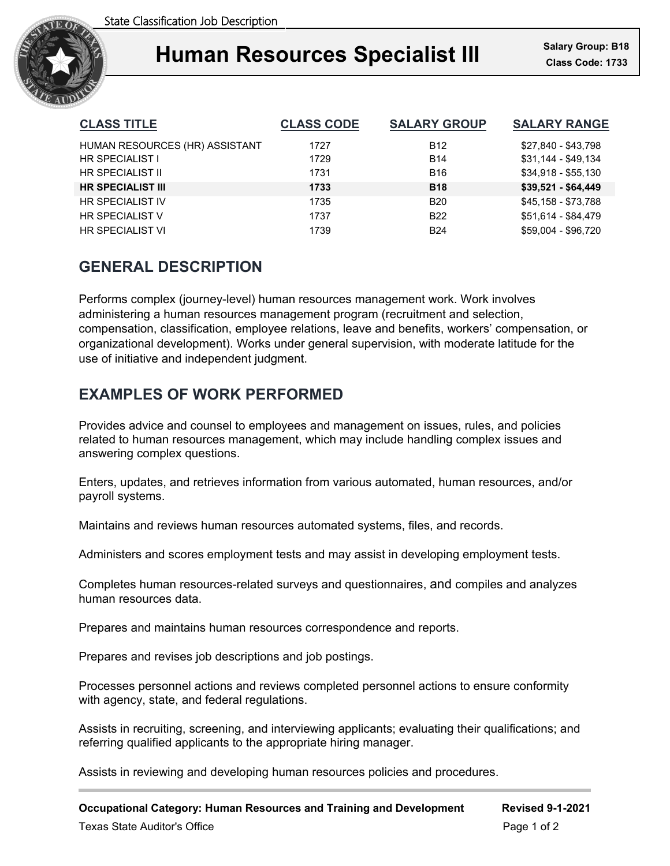

# **Human Resources Specialist III**

| <b>CLASS TITLE</b>             | <b>CLASS CODE</b> | <b>SALARY GROUP</b> | <b>SALARY RANGE</b> |
|--------------------------------|-------------------|---------------------|---------------------|
| HUMAN RESOURCES (HR) ASSISTANT | 1727              | <b>B12</b>          | \$27,840 - \$43,798 |
| HR SPECIALIST I                | 1729              | <b>B14</b>          | $$31,144 - $49,134$ |
| HR SPECIALIST II               | 1731              | <b>B16</b>          | \$34,918 - \$55,130 |
| <b>HR SPECIALIST III</b>       | 1733              | <b>B18</b>          | $$39,521 - $64,449$ |
| <b>HR SPECIALIST IV</b>        | 1735              | B <sub>20</sub>     | \$45,158 - \$73,788 |
| <b>HR SPECIALIST V</b>         | 1737              | <b>B22</b>          | \$51,614 - \$84,479 |
| <b>HR SPECIALIST VI</b>        | 1739              | <b>B24</b>          | \$59.004 - \$96.720 |

# **GENERAL DESCRIPTION**

Performs complex (journey-level) human resources management work. Work involves administering a human resources management program (recruitment and selection, compensation, classification, employee relations, leave and benefits, workers' compensation, or organizational development). Works under general supervision, with moderate latitude for the use of initiative and independent judgment.

# **EXAMPLES OF WORK PERFORMED**

Provides advice and counsel to employees and management on issues, rules, and policies related to human resources management, which may include handling complex issues and answering complex questions.

Enters, updates, and retrieves information from various automated, human resources, and/or payroll systems.

Maintains and reviews human resources automated systems, files, and records.

Administers and scores employment tests and may assist in developing employment tests.

Completes human resources-related surveys and questionnaires, and compiles and analyzes human resources data.

Prepares and maintains human resources correspondence and reports.

Prepares and revises job descriptions and job postings.

Processes personnel actions and reviews completed personnel actions to ensure conformity with agency, state, and federal regulations.

Assists in recruiting, screening, and interviewing applicants; evaluating their qualifications; and referring qualified applicants to the appropriate hiring manager.

Assists in reviewing and developing human resources policies and procedures.